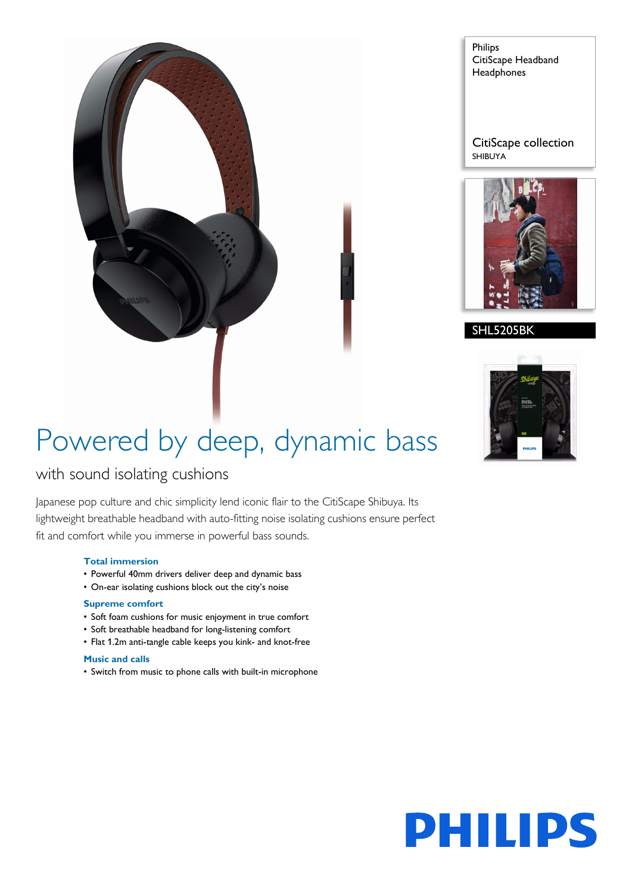

Philips CitiScape Headband **Headphones** 

CitiScape collection SHIBUYA



#### **SHL5205BK**



# Powered by deep, dynamic bass

### with sound isolating cushions

Japanese pop culture and chic simplicity lend iconic flair to the CitiScape Shibuya. Its lightweight breathable headband with auto-fitting noise isolating cushions ensure perfect fit and comfort while you immerse in powerful bass sounds.

#### **Total immersion**

- Powerful 40mm drivers deliver deep and dynamic bass
- On-ear isolating cushions block out the city's noise

#### **Supreme comfort**

- Soft foam cushions for music enjoyment in true comfort
- Soft breathable headband for long-listening comfort
- Flat 1.2m anti-tangle cable keeps you kink- and knot-free

#### **Music and calls**

• Switch from music to phone calls with built-in microphone

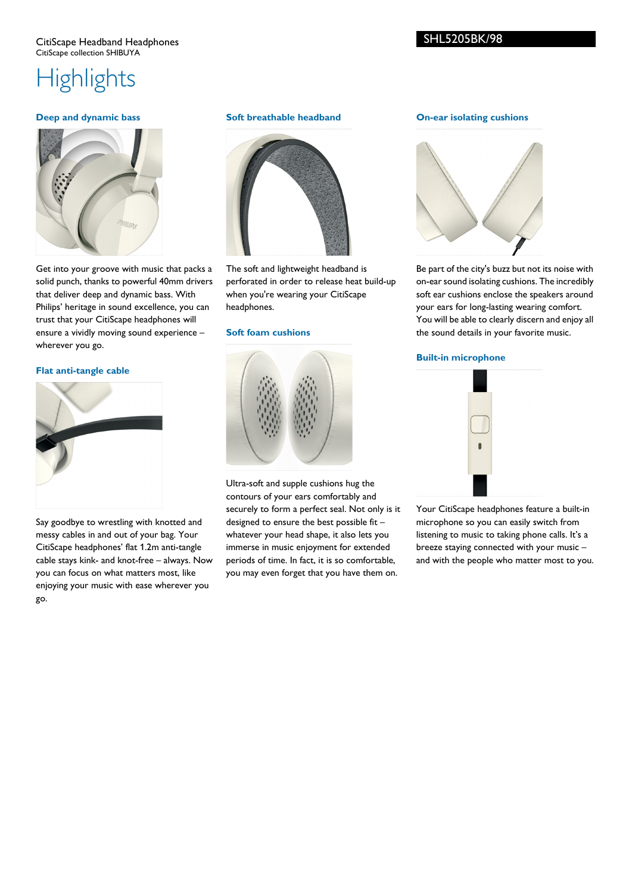#### CitiScape Headband Headphones CitiScape collection SHIBUYA

### **Highlights**

#### **Deep and dynamic bass**



Get into your groove with music that packs a solid punch, thanks to powerful 40mm drivers that deliver deep and dynamic bass. With Philips' heritage in sound excellence, you can trust that your CitiScape headphones will ensure a vividly moving sound experience – wherever you go.

#### **Flat anti-tangle cable**



Say goodbye to wrestling with knotted and messy cables in and out of your bag. Your CitiScape headphones' flat 1.2m anti-tangle cable stays kink- and knot-free – always. Now you can focus on what matters most, like enjoying your music with ease wherever you go.

#### **Soft breathable headband**



The soft and lightweight headband is perforated in order to release heat build-up when you're wearing your CitiScape headphones.

#### **Soft foam cushions**



Ultra-soft and supple cushions hug the contours of your ears comfortably and securely to form a perfect seal. Not only is it designed to ensure the best possible fit – whatever your head shape, it also lets you immerse in music enjoyment for extended periods of time. In fact, it is so comfortable, you may even forget that you have them on.

#### **On-ear isolating cushions**



Be part of the city's buzz but not its noise with on-ear sound isolating cushions. The incredibly soft ear cushions enclose the speakers around your ears for long-lasting wearing comfort. You will be able to clearly discern and enjoy all the sound details in your favorite music.

#### **Built-in microphone**



Your CitiScape headphones feature a built-in microphone so you can easily switch from listening to music to taking phone calls. It's a breeze staying connected with your music – and with the people who matter most to you.